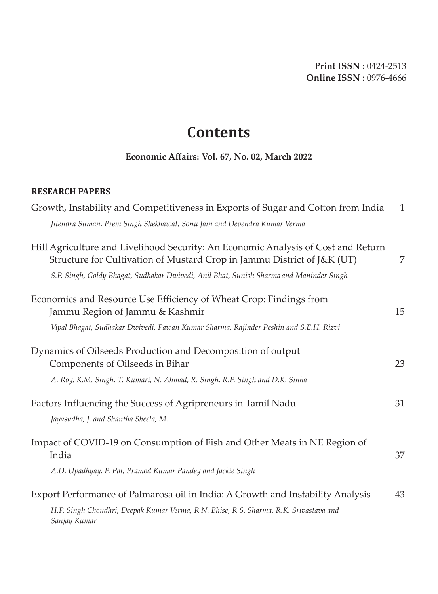## **Contents**

## **Economic Affairs: Vol. 67, No. 02, March 2022**

## **RESEARCH PAPERS**

| Growth, Instability and Competitiveness in Exports of Sugar and Cotton from India                                                                            | $\mathbf{1}$ |
|--------------------------------------------------------------------------------------------------------------------------------------------------------------|--------------|
| Jitendra Suman, Prem Singh Shekhawat, Sonu Jain and Devendra Kumar Verma                                                                                     |              |
| Hill Agriculture and Livelihood Security: An Economic Analysis of Cost and Return<br>Structure for Cultivation of Mustard Crop in Jammu District of J&K (UT) | 7            |
| S.P. Singh, Goldy Bhagat, Sudhakar Dwivedi, Anil Bhat, Sunish Sharma and Maninder Singh                                                                      |              |
| Economics and Resource Use Efficiency of Wheat Crop: Findings from<br>Jammu Region of Jammu & Kashmir                                                        | 15           |
| Vipal Bhagat, Sudhakar Dwivedi, Pawan Kumar Sharma, Rajinder Peshin and S.E.H. Rizvi                                                                         |              |
| Dynamics of Oilseeds Production and Decomposition of output<br>Components of Oilseeds in Bihar                                                               | 23           |
| A. Roy, K.M. Singh, T. Kumari, N. Ahmad, R. Singh, R.P. Singh and D.K. Sinha                                                                                 |              |
| Factors Influencing the Success of Agripreneurs in Tamil Nadu<br>Jayasudha, J. and Shantha Sheela, M.                                                        | 31           |
| Impact of COVID-19 on Consumption of Fish and Other Meats in NE Region of<br>India                                                                           | 37           |
| A.D. Upadhyay, P. Pal, Pramod Kumar Pandey and Jackie Singh                                                                                                  |              |
| Export Performance of Palmarosa oil in India: A Growth and Instability Analysis                                                                              | 43           |
| H.P. Singh Choudhri, Deepak Kumar Verma, R.N. Bhise, R.S. Sharma, R.K. Srivastava and<br>Sanjay Kumar                                                        |              |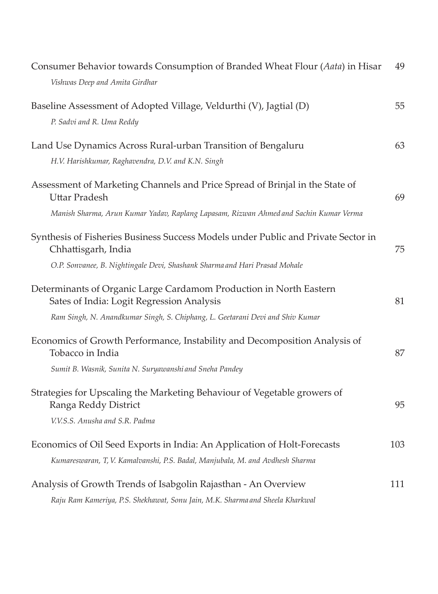| Consumer Behavior towards Consumption of Branded Wheat Flour (Aata) in Hisar                                    | 49  |
|-----------------------------------------------------------------------------------------------------------------|-----|
| Vishwas Deep and Amita Girdhar                                                                                  |     |
| Baseline Assessment of Adopted Village, Veldurthi (V), Jagtial (D)                                              | 55  |
| P. Sadvi and R. Uma Reddy                                                                                       |     |
| Land Use Dynamics Across Rural-urban Transition of Bengaluru                                                    | 63  |
| H.V. Harishkumar, Raghavendra, D.V. and K.N. Singh                                                              |     |
| Assessment of Marketing Channels and Price Spread of Brinjal in the State of<br><b>Uttar Pradesh</b>            | 69  |
| Manish Sharma, Arun Kumar Yadav, Raplang Lapasam, Rizwan Ahmed and Sachin Kumar Verma                           |     |
| Synthesis of Fisheries Business Success Models under Public and Private Sector in<br>Chhattisgarh, India        | 75  |
| O.P. Sonvanee, B. Nightingale Devi, Shashank Sharma and Hari Prasad Mohale                                      |     |
| Determinants of Organic Large Cardamom Production in North Eastern<br>Sates of India: Logit Regression Analysis | 81  |
| Ram Singh, N. Anandkumar Singh, S. Chiphang, L. Geetarani Devi and Shiv Kumar                                   |     |
| Economics of Growth Performance, Instability and Decomposition Analysis of<br>Tobacco in India                  | 87  |
| Sumit B. Wasnik, Sunita N. Suryawanshi and Sneha Pandey                                                         |     |
| Strategies for Upscaling the Marketing Behaviour of Vegetable growers of<br>Ranga Reddy District                | 95  |
| V.V.S.S. Anusha and S.R. Padma                                                                                  |     |
| Economics of Oil Seed Exports in India: An Application of Holt-Forecasts                                        | 103 |
| Kumareswaran, T, V. Kamalvanshi, P.S. Badal, Manjubala, M. and Avdhesh Sharma                                   |     |
| Analysis of Growth Trends of Isabgolin Rajasthan - An Overview                                                  | 111 |
| Raju Ram Kameriya, P.S. Shekhawat, Sonu Jain, M.K. Sharma and Sheela Kharkwal                                   |     |